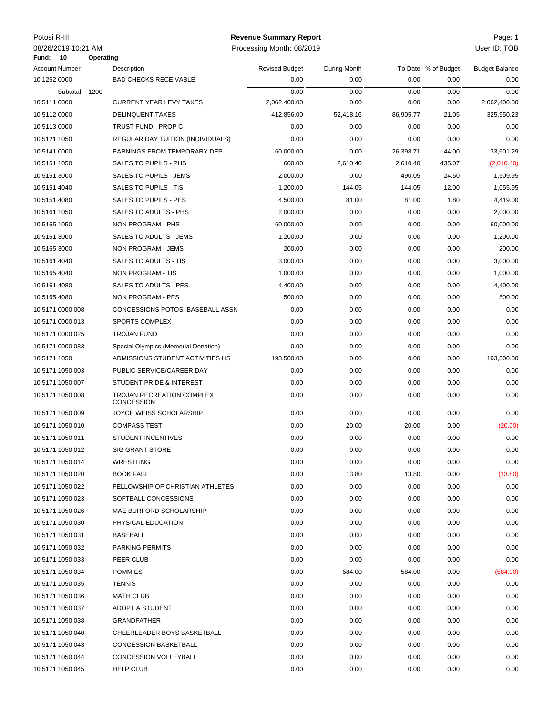| Potosi R-III |  |  |
|--------------|--|--|
|--------------|--|--|

## Potosi R-III Page: 1 **Revenue Summary Report**

08/2019 08/26/2019 10:21 AM Processing Month: User ID: TOB

| 10<br>Fund:           | Operating |                                                       |                       |              |           |                     |                       |
|-----------------------|-----------|-------------------------------------------------------|-----------------------|--------------|-----------|---------------------|-----------------------|
| <b>Account Number</b> |           | Description                                           | <b>Revised Budget</b> | During Month |           | To Date % of Budget | <b>Budget Balance</b> |
| 10 1262 0000          |           | <b>BAD CHECKS RECEIVABLE</b>                          | 0.00                  | 0.00         | 0.00      | 0.00                | 0.00                  |
| Subtotal: 1200        |           |                                                       | 0.00                  | 0.00         | 0.00      | 0.00                | 0.00                  |
| 10 5111 0000          |           | <b>CURRENT YEAR LEVY TAXES</b>                        | 2,062,400.00          | 0.00         | 0.00      | 0.00                | 2,062,400.00          |
| 10 5112 0000          |           | <b>DELINQUENT TAXES</b>                               | 412,856.00            | 52,418.16    | 86,905.77 | 21.05               | 325,950.23            |
| 10 5113 0000          |           | TRUST FUND - PROP C                                   | 0.00                  | 0.00         | 0.00      | 0.00                | 0.00                  |
| 10 5121 1050          |           | REGULAR DAY TUITION (INDIVIDUALS)                     | 0.00                  | 0.00         | 0.00      | 0.00                | 0.00                  |
| 10 5141 0000          |           | <b>EARNINGS FROM TEMPORARY DEP</b>                    | 60,000.00             | 0.00         | 26,398.71 | 44.00               | 33.601.29             |
| 10 5151 1050          |           | SALES TO PUPILS - PHS                                 | 600.00                | 2,610.40     | 2,610.40  | 435.07              | (2,010.40)            |
| 10 5151 3000          |           | SALES TO PUPILS - JEMS                                | 2,000.00              | 0.00         | 490.05    | 24.50               | 1,509.95              |
| 10 5151 4040          |           | SALES TO PUPILS - TIS                                 | 1,200.00              | 144.05       | 144.05    | 12.00               | 1,055.95              |
| 10 5151 4080          |           | <b>SALES TO PUPILS - PES</b>                          | 4,500.00              | 81.00        | 81.00     | 1.80                | 4,419.00              |
| 10 5161 1050          |           | SALES TO ADULTS - PHS                                 | 2,000.00              | 0.00         | 0.00      | 0.00                | 2,000.00              |
| 10 5165 1050          |           | NON PROGRAM - PHS                                     | 60,000.00             | 0.00         | 0.00      | 0.00                | 60,000.00             |
| 10 5161 3000          |           | <b>SALES TO ADULTS - JEMS</b>                         | 1,200.00              | 0.00         | 0.00      | 0.00                | 1,200.00              |
| 10 5165 3000          |           | NON PROGRAM - JEMS                                    | 200.00                | 0.00         | 0.00      | 0.00                | 200.00                |
| 10 5161 4040          |           | SALES TO ADULTS - TIS                                 | 3,000.00              | 0.00         | 0.00      | 0.00                | 3,000.00              |
| 10 5165 4040          |           | NON PROGRAM - TIS                                     | 1,000.00              | 0.00         | 0.00      | 0.00                | 1,000.00              |
| 10 5161 4080          |           | SALES TO ADULTS - PES                                 | 4,400.00              | 0.00         | 0.00      | 0.00                | 4,400.00              |
| 10 5165 4080          |           | NON PROGRAM - PES                                     | 500.00                | 0.00         | 0.00      | 0.00                | 500.00                |
| 10 5171 0000 008      |           | CONCESSIONS POTOSI BASEBALL ASSN                      | 0.00                  | 0.00         | 0.00      | 0.00                | 0.00                  |
| 10 5171 0000 013      |           | <b>SPORTS COMPLEX</b>                                 | 0.00                  | 0.00         | 0.00      | 0.00                | 0.00                  |
| 10 5171 0000 025      |           | <b>TROJAN FUND</b>                                    | 0.00                  | 0.00         | 0.00      | 0.00                | 0.00                  |
| 10 5171 0000 083      |           | Special Olympics (Memorial Donation)                  | 0.00                  | 0.00         | 0.00      | 0.00                | 0.00                  |
| 10 5171 1050          |           | ADMISSIONS STUDENT ACTIVITIES HS                      | 193,500.00            | 0.00         | 0.00      | 0.00                | 193,500.00            |
| 10 5171 1050 003      |           | PUBLIC SERVICE/CAREER DAY                             | 0.00                  | 0.00         | 0.00      | 0.00                | 0.00                  |
| 10 5171 1050 007      |           | STUDENT PRIDE & INTEREST                              | 0.00                  | 0.00         | 0.00      | 0.00                | 0.00                  |
| 10 5171 1050 008      |           | <b>TROJAN RECREATION COMPLEX</b><br><b>CONCESSION</b> | 0.00                  | 0.00         | 0.00      | 0.00                | 0.00                  |
| 10 5171 1050 009      |           | JOYCE WEISS SCHOLARSHIP                               | 0.00                  | 0.00         | 0.00      | 0.00                | 0.00                  |
| 10 5171 1050 010      |           | <b>COMPASS TEST</b>                                   | 0.00                  | 20.00        | 20.00     | 0.00                | (20.00)               |
| 10 5171 1050 011      |           | <b>STUDENT INCENTIVES</b>                             | 0.00                  | 0.00         | 0.00      | 0.00                | 0.00                  |
| 10 5171 1050 012      |           | <b>SIG GRANT STORE</b>                                | 0.00                  | 0.00         | 0.00      | 0.00                | 0.00                  |
| 10 5171 1050 014      |           | WRESTLING                                             | 0.00                  | 0.00         | 0.00      | 0.00                | 0.00                  |
| 10 5171 1050 020      |           | <b>BOOK FAIR</b>                                      | 0.00                  | 13.80        | 13.80     | 0.00                | (13.80)               |
| 10 5171 1050 022      |           | FELLOWSHIP OF CHRISTIAN ATHLETES                      | 0.00                  | 0.00         | 0.00      | 0.00                | 0.00                  |
| 10 5171 1050 023      |           | SOFTBALL CONCESSIONS                                  | 0.00                  | 0.00         | 0.00      | 0.00                | 0.00                  |
| 10 5171 1050 026      |           | MAE BURFORD SCHOLARSHIP                               | 0.00                  | 0.00         | 0.00      | 0.00                | 0.00                  |
| 10 5171 1050 030      |           | PHYSICAL EDUCATION                                    | 0.00                  | 0.00         | 0.00      | 0.00                | 0.00                  |
| 10 5171 1050 031      |           | BASEBALL                                              | 0.00                  | 0.00         | 0.00      | 0.00                | 0.00                  |
| 10 5171 1050 032      |           | PARKING PERMITS                                       | 0.00                  | 0.00         | 0.00      | 0.00                | 0.00                  |
| 10 5171 1050 033      |           | PEER CLUB                                             | 0.00                  | 0.00         | 0.00      | 0.00                | 0.00                  |
| 10 5171 1050 034      |           | <b>POMMIES</b>                                        | 0.00                  | 584.00       | 584.00    | 0.00                | (584.00)              |
| 10 5171 1050 035      |           | <b>TENNIS</b>                                         | 0.00                  | 0.00         | 0.00      | 0.00                | 0.00                  |
| 10 5171 1050 036      |           | <b>MATH CLUB</b>                                      | 0.00                  | 0.00         | 0.00      | 0.00                | 0.00                  |
| 10 5171 1050 037      |           | ADOPT A STUDENT                                       | 0.00                  | 0.00         | 0.00      | 0.00                | 0.00                  |
| 10 5171 1050 038      |           | <b>GRANDFATHER</b>                                    | 0.00                  | 0.00         | 0.00      | 0.00                | 0.00                  |
| 10 5171 1050 040      |           | CHEERLEADER BOYS BASKETBALL                           | 0.00                  | 0.00         | 0.00      | 0.00                | 0.00                  |
| 10 5171 1050 043      |           | <b>CONCESSION BASKETBALL</b>                          | 0.00                  | 0.00         | 0.00      | 0.00                | 0.00                  |
| 10 5171 1050 044      |           | CONCESSION VOLLEYBALL                                 | 0.00                  | 0.00         | 0.00      | 0.00                | 0.00                  |
| 10 5171 1050 045      |           | <b>HELP CLUB</b>                                      | 0.00                  | 0.00         | 0.00      | 0.00                | 0.00                  |
|                       |           |                                                       |                       |              |           |                     |                       |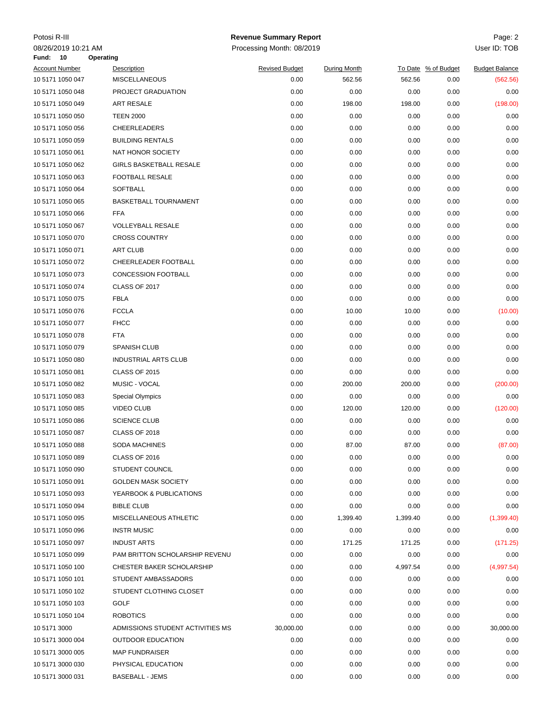| Potosi R-III                                      |                                  | <b>Revenue Summary Report</b> |                     |          |                     | Page: 2               |
|---------------------------------------------------|----------------------------------|-------------------------------|---------------------|----------|---------------------|-----------------------|
| 08/26/2019 10:21 AM                               |                                  | Processing Month: 08/2019     |                     |          |                     | User ID: TOB          |
| Fund:<br>10<br>Operating<br><b>Account Number</b> | Description                      | <b>Revised Budget</b>         | <b>During Month</b> |          | To Date % of Budget | <b>Budget Balance</b> |
| 10 5171 1050 047                                  | <b>MISCELLANEOUS</b>             | 0.00                          | 562.56              | 562.56   | 0.00                | (562.56)              |
| 10 5171 1050 048                                  | PROJECT GRADUATION               | 0.00                          | 0.00                | 0.00     | 0.00                | 0.00                  |
| 10 5171 1050 049                                  | ART RESALE                       | 0.00                          | 198.00              | 198.00   | 0.00                | (198.00)              |
| 10 5171 1050 050                                  | <b>TEEN 2000</b>                 | 0.00                          | 0.00                | 0.00     | 0.00                | 0.00                  |
| 10 5171 1050 056                                  | CHEERLEADERS                     | 0.00                          | 0.00                | 0.00     | 0.00                | 0.00                  |
| 10 5171 1050 059                                  | <b>BUILDING RENTALS</b>          | 0.00                          | 0.00                | 0.00     | 0.00                | 0.00                  |
| 10 5171 1050 061                                  | NAT HONOR SOCIETY                | 0.00                          | 0.00                | 0.00     | 0.00                | 0.00                  |
| 10 5171 1050 062                                  | <b>GIRLS BASKETBALL RESALE</b>   | 0.00                          | 0.00                | 0.00     | 0.00                | 0.00                  |
| 10 5171 1050 063                                  | FOOTBALL RESALE                  | 0.00                          | 0.00                | 0.00     | 0.00                | 0.00                  |
| 10 5171 1050 064                                  | <b>SOFTBALL</b>                  | 0.00                          | 0.00                | 0.00     | 0.00                | 0.00                  |
| 10 5171 1050 065                                  | <b>BASKETBALL TOURNAMENT</b>     | 0.00                          | 0.00                | 0.00     | 0.00                | 0.00                  |
| 10 5171 1050 066                                  | <b>FFA</b>                       | 0.00                          | 0.00                | 0.00     | 0.00                | 0.00                  |
| 10 5171 1050 067                                  | <b>VOLLEYBALL RESALE</b>         | 0.00                          | 0.00                | 0.00     | 0.00                | 0.00                  |
| 10 5171 1050 070                                  | <b>CROSS COUNTRY</b>             | 0.00                          | 0.00                | 0.00     | 0.00                | 0.00                  |
| 10 5171 1050 071                                  | <b>ART CLUB</b>                  | 0.00                          | 0.00                | 0.00     | 0.00                | 0.00                  |
|                                                   |                                  |                               |                     |          |                     | 0.00                  |
| 10 5171 1050 072                                  | CHEERLEADER FOOTBALL             | 0.00                          | 0.00                | 0.00     | 0.00                |                       |
| 10 5171 1050 073                                  | <b>CONCESSION FOOTBALL</b>       | 0.00                          | 0.00                | 0.00     | 0.00                | 0.00                  |
| 10 5171 1050 074                                  | CLASS OF 2017                    | 0.00                          | 0.00                | 0.00     | 0.00                | 0.00                  |
| 10 5171 1050 075                                  | <b>FBLA</b>                      | 0.00                          | 0.00                | 0.00     | 0.00                | 0.00                  |
| 10 5171 1050 076                                  | <b>FCCLA</b>                     | 0.00                          | 10.00               | 10.00    | 0.00                | (10.00)               |
| 10 5171 1050 077                                  | <b>FHCC</b>                      | 0.00                          | 0.00                | 0.00     | 0.00                | 0.00                  |
| 10 5171 1050 078                                  | <b>FTA</b>                       | 0.00                          | 0.00                | 0.00     | 0.00                | 0.00                  |
| 10 5171 1050 079                                  | <b>SPANISH CLUB</b>              | 0.00                          | 0.00                | 0.00     | 0.00                | 0.00                  |
| 10 5171 1050 080                                  | <b>INDUSTRIAL ARTS CLUB</b>      | 0.00                          | 0.00                | 0.00     | 0.00                | 0.00                  |
| 10 5171 1050 081                                  | <b>CLASS OF 2015</b>             | 0.00                          | 0.00                | 0.00     | 0.00                | 0.00                  |
| 10 5171 1050 082                                  | MUSIC - VOCAL                    | 0.00                          | 200.00              | 200.00   | 0.00                | (200.00)              |
| 10 5171 1050 083                                  | <b>Special Olympics</b>          | 0.00                          | 0.00                | 0.00     | 0.00                | 0.00                  |
| 10 5171 1050 085                                  | <b>VIDEO CLUB</b>                | 0.00                          | 120.00              | 120.00   | 0.00                | (120.00)              |
| 10 5171 1050 086                                  | <b>SCIENCE CLUB</b>              | 0.00                          | 0.00                | 0.00     | 0.00                | 0.00                  |
| 10 5171 1050 087                                  | <b>CLASS OF 2018</b>             | 0.00                          | 0.00                | 0.00     | 0.00                | 0.00                  |
| 10 5171 1050 088                                  | SODA MACHINES                    | 0.00                          | 87.00               | 87.00    | 0.00                | (87.00)               |
| 10 5171 1050 089                                  | CLASS OF 2016                    | 0.00                          | 0.00                | 0.00     | 0.00                | 0.00                  |
| 10 5171 1050 090                                  | STUDENT COUNCIL                  | 0.00                          | 0.00                | 0.00     | 0.00                | 0.00                  |
| 10 5171 1050 091                                  | <b>GOLDEN MASK SOCIETY</b>       | 0.00                          | 0.00                | 0.00     | 0.00                | 0.00                  |
| 10 5171 1050 093                                  | YEARBOOK & PUBLICATIONS          | 0.00                          | 0.00                | 0.00     | 0.00                | 0.00                  |
| 10 5171 1050 094                                  | <b>BIBLE CLUB</b>                | 0.00                          | 0.00                | 0.00     | 0.00                | 0.00                  |
| 10 5171 1050 095                                  | MISCELLANEOUS ATHLETIC           | 0.00                          | 1,399.40            | 1,399.40 | 0.00                | (1,399.40)            |
| 10 5171 1050 096                                  | <b>INSTR MUSIC</b>               | 0.00                          | 0.00                | 0.00     | 0.00                | 0.00                  |
| 10 5171 1050 097                                  | <b>INDUST ARTS</b>               | 0.00                          | 171.25              | 171.25   | 0.00                | (171.25)              |
| 10 5171 1050 099                                  | PAM BRITTON SCHOLARSHIP REVENU   | 0.00                          | 0.00                | 0.00     | 0.00                | 0.00                  |
| 10 5171 1050 100                                  | CHESTER BAKER SCHOLARSHIP        | 0.00                          | 0.00                | 4,997.54 | 0.00                | (4,997.54)            |
| 10 5171 1050 101                                  | STUDENT AMBASSADORS              | 0.00                          | 0.00                | 0.00     | 0.00                | 0.00                  |
| 10 5171 1050 102                                  | STUDENT CLOTHING CLOSET          | 0.00                          | 0.00                | 0.00     | 0.00                | 0.00                  |
| 10 5171 1050 103                                  | GOLF                             | 0.00                          | 0.00                | 0.00     | 0.00                | 0.00                  |
| 10 5171 1050 104                                  | <b>ROBOTICS</b>                  | 0.00                          | 0.00                | 0.00     | 0.00                | 0.00                  |
| 10 5171 3000                                      | ADMISSIONS STUDENT ACTIVITIES MS | 30,000.00                     | 0.00                | 0.00     | 0.00                | 30,000.00             |
| 10 5171 3000 004                                  | <b>OUTDOOR EDUCATION</b>         | 0.00                          | 0.00                | 0.00     | 0.00                | 0.00                  |
| 10 5171 3000 005                                  | <b>MAP FUNDRAISER</b>            | 0.00                          | 0.00                | 0.00     | 0.00                | 0.00                  |
| 10 5171 3000 030                                  | PHYSICAL EDUCATION               | 0.00                          | 0.00                | 0.00     | 0.00                | 0.00                  |
| 10 5171 3000 031                                  | <b>BASEBALL - JEMS</b>           | 0.00                          | 0.00                | 0.00     | 0.00                | 0.00                  |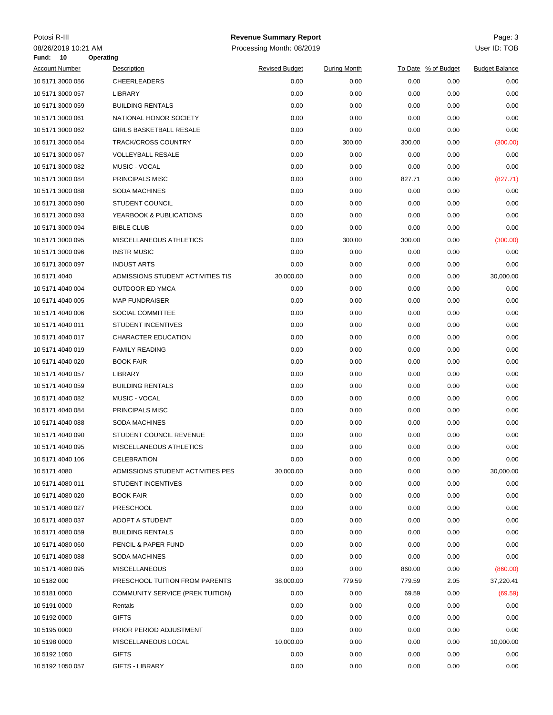| Potosi R-III                           |                  |                                   | <b>Revenue Summary Report</b> |                     |        |                     | Page: 3               |
|----------------------------------------|------------------|-----------------------------------|-------------------------------|---------------------|--------|---------------------|-----------------------|
| 08/26/2019 10:21 AM<br><b>Fund: 10</b> | <b>Operating</b> |                                   | Processing Month: 08/2019     |                     |        |                     | User ID: TOB          |
| <b>Account Number</b>                  |                  | Description                       | <b>Revised Budget</b>         | <b>During Month</b> |        | To Date % of Budget | <b>Budget Balance</b> |
| 10 5171 3000 056                       |                  | <b>CHEERLEADERS</b>               | 0.00                          | 0.00                | 0.00   | 0.00                | 0.00                  |
| 10 5171 3000 057                       |                  | LIBRARY                           | 0.00                          | 0.00                | 0.00   | 0.00                | 0.00                  |
| 10 5171 3000 059                       |                  | <b>BUILDING RENTALS</b>           | 0.00                          | 0.00                | 0.00   | 0.00                | 0.00                  |
| 10 5171 3000 061                       |                  | NATIONAL HONOR SOCIETY            | 0.00                          | 0.00                | 0.00   | 0.00                | 0.00                  |
| 10 5171 3000 062                       |                  | <b>GIRLS BASKETBALL RESALE</b>    | 0.00                          | 0.00                | 0.00   | 0.00                | 0.00                  |
| 10 5171 3000 064                       |                  | <b>TRACK/CROSS COUNTRY</b>        | 0.00                          | 300.00              | 300.00 | 0.00                | (300.00)              |
| 10 5171 3000 067                       |                  | <b>VOLLEYBALL RESALE</b>          | 0.00                          | 0.00                | 0.00   | 0.00                | 0.00                  |
| 10 5171 3000 082                       |                  | MUSIC - VOCAL                     | 0.00                          | 0.00                | 0.00   | 0.00                | 0.00                  |
| 10 5171 3000 084                       |                  | PRINCIPALS MISC                   | 0.00                          | 0.00                | 827.71 | 0.00                | (827.71)              |
| 10 5171 3000 088                       |                  | <b>SODA MACHINES</b>              | 0.00                          | 0.00                | 0.00   | 0.00                | 0.00                  |
| 10 5171 3000 090                       |                  | <b>STUDENT COUNCIL</b>            | 0.00                          | 0.00                | 0.00   | 0.00                | 0.00                  |
| 10 5171 3000 093                       |                  | YEARBOOK & PUBLICATIONS           | 0.00                          | 0.00                | 0.00   | 0.00                | 0.00                  |
| 10 5171 3000 094                       |                  | <b>BIBLE CLUB</b>                 | 0.00                          | 0.00                | 0.00   | 0.00                | 0.00                  |
| 10 5171 3000 095                       |                  | MISCELLANEOUS ATHLETICS           | 0.00                          | 300.00              | 300.00 | 0.00                | (300.00)              |
| 10 5171 3000 096                       |                  | <b>INSTR MUSIC</b>                | 0.00                          | 0.00                | 0.00   | 0.00                | 0.00                  |
| 10 5171 3000 097                       |                  | <b>INDUST ARTS</b>                | 0.00                          | 0.00                | 0.00   | 0.00                | 0.00                  |
| 10 5171 4040                           |                  | ADMISSIONS STUDENT ACTIVITIES TIS | 30,000.00                     | 0.00                | 0.00   | 0.00                | 30,000.00             |
| 10 5171 4040 004                       |                  | <b>OUTDOOR ED YMCA</b>            | 0.00                          | 0.00                | 0.00   | 0.00                | 0.00                  |
| 10 5171 4040 005                       |                  | <b>MAP FUNDRAISER</b>             | 0.00                          | 0.00                | 0.00   | 0.00                | 0.00                  |
| 10 5171 4040 006                       |                  | SOCIAL COMMITTEE                  | 0.00                          | 0.00                | 0.00   | 0.00                | 0.00                  |
| 10 5171 4040 011                       |                  | <b>STUDENT INCENTIVES</b>         | 0.00                          | 0.00                | 0.00   | 0.00                | 0.00                  |
| 10 5171 4040 017                       |                  | CHARACTER EDUCATION               | 0.00                          | 0.00                | 0.00   | 0.00                | 0.00                  |
| 10 5171 4040 019                       |                  | <b>FAMILY READING</b>             | 0.00                          | 0.00                | 0.00   | 0.00                | 0.00                  |
| 10 5171 4040 020                       |                  | <b>BOOK FAIR</b>                  | 0.00                          | 0.00                | 0.00   | 0.00                | 0.00                  |
| 10 5171 4040 057                       |                  | LIBRARY                           | 0.00                          | 0.00                | 0.00   | 0.00                | 0.00                  |
| 10 5171 4040 059                       |                  | <b>BUILDING RENTALS</b>           | 0.00                          | 0.00                | 0.00   | 0.00                | 0.00                  |
| 10 5171 4040 082                       |                  | MUSIC - VOCAL                     | 0.00                          | 0.00                | 0.00   | 0.00                | 0.00                  |
| 10 5171 4040 084                       |                  | PRINCIPALS MISC                   | 0.00                          | 0.00                | 0.00   | 0.00                | 0.00                  |
| 10 5171 4040 088                       |                  | SODA MACHINES                     | 0.00                          | 0.00                | 0.00   | 0.00                | 0.00                  |
| 10 5171 4040 090                       |                  | <b>STUDENT COUNCIL REVENUE</b>    | 0.00                          | 0.00                | 0.00   | 0.00                | 0.00                  |
| 10 5171 4040 095                       |                  | MISCELLANEOUS ATHLETICS           | 0.00                          | 0.00                | 0.00   | 0.00                | 0.00                  |
| 10 5171 4040 106                       |                  | <b>CELEBRATION</b>                | 0.00                          | 0.00                | 0.00   | 0.00                | 0.00                  |
| 10 5171 4080                           |                  | ADMISSIONS STUDENT ACTIVITIES PES | 30,000.00                     | 0.00                | 0.00   | 0.00                | 30,000.00             |
| 10 5171 4080 011                       |                  | <b>STUDENT INCENTIVES</b>         | 0.00                          | 0.00                | 0.00   | 0.00                | 0.00                  |
| 10 5171 4080 020                       |                  | <b>BOOK FAIR</b>                  | 0.00                          | 0.00                | 0.00   | 0.00                | 0.00                  |
| 10 5171 4080 027                       |                  | PRESCHOOL                         | 0.00                          | 0.00                | 0.00   | 0.00                | 0.00                  |
| 10 5171 4080 037                       |                  | ADOPT A STUDENT                   | 0.00                          | 0.00                | 0.00   | 0.00                | 0.00                  |
| 10 5171 4080 059                       |                  | <b>BUILDING RENTALS</b>           | 0.00                          | 0.00                | 0.00   | 0.00                | 0.00                  |
| 10 5171 4080 060                       |                  | PENCIL & PAPER FUND               | 0.00                          | 0.00                | 0.00   | 0.00                | 0.00                  |
| 10 5171 4080 088                       |                  | <b>SODA MACHINES</b>              | 0.00                          | 0.00                | 0.00   | 0.00                | 0.00                  |
| 10 5171 4080 095                       |                  | <b>MISCELLANEOUS</b>              | 0.00                          | 0.00                | 860.00 | 0.00                | (860.00)              |
| 10 5182 000                            |                  | PRESCHOOL TUITION FROM PARENTS    | 38,000.00                     | 779.59              | 779.59 | 2.05                | 37,220.41             |
| 10 5181 0000                           |                  | COMMUNITY SERVICE (PREK TUITION)  | 0.00                          | 0.00                | 69.59  | 0.00                | (69.59)               |
| 10 5191 0000                           |                  | Rentals                           | 0.00                          | 0.00                | 0.00   | 0.00                | 0.00                  |
| 10 5192 0000                           |                  | <b>GIFTS</b>                      | 0.00                          | 0.00                | 0.00   | 0.00                | 0.00                  |
| 10 5195 0000                           |                  | PRIOR PERIOD ADJUSTMENT           | 0.00                          | 0.00                | 0.00   | 0.00                | 0.00                  |
| 10 5198 0000                           |                  | MISCELLANEOUS LOCAL               | 10,000.00                     | 0.00                | 0.00   | 0.00                | 10,000.00             |
| 10 5192 1050                           |                  | <b>GIFTS</b>                      | 0.00                          | 0.00                | 0.00   | 0.00                | 0.00                  |
| 10 5192 1050 057                       |                  | GIFTS - LIBRARY                   | 0.00                          | 0.00                | 0.00   | 0.00                | 0.00                  |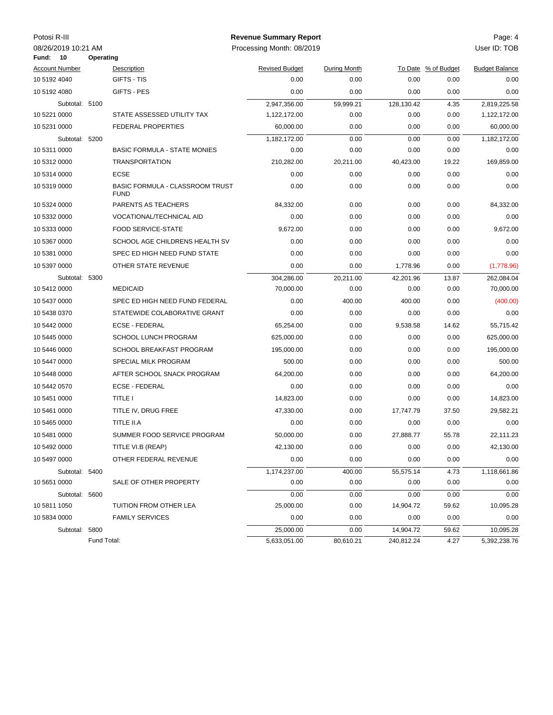| Potosi R-III |                           |             |                                                       | <b>Revenue Summary Report</b> |                     |            |                     | Page: 4               |
|--------------|---------------------------|-------------|-------------------------------------------------------|-------------------------------|---------------------|------------|---------------------|-----------------------|
| Fund:        | 08/26/2019 10:21 AM<br>10 | Operating   |                                                       | Processing Month: 08/2019     |                     |            |                     | User ID: TOB          |
|              | <b>Account Number</b>     |             | Description                                           | <b>Revised Budget</b>         | <b>During Month</b> |            | To Date % of Budget | <b>Budget Balance</b> |
| 10 5192 4040 |                           |             | GIFTS - TIS                                           | 0.00                          | 0.00                | 0.00       | 0.00                | 0.00                  |
| 10 5192 4080 |                           |             | GIFTS - PES                                           | 0.00                          | 0.00                | 0.00       | 0.00                | 0.00                  |
|              | Subtotal: 5100            |             |                                                       | 2,947,356.00                  | 59,999.21           | 128,130.42 | 4.35                | 2,819,225.58          |
| 10 5221 0000 |                           |             | STATE ASSESSED UTILITY TAX                            | 1,122,172.00                  | 0.00                | 0.00       | 0.00                | 1,122,172.00          |
| 10 5231 0000 |                           |             | <b>FEDERAL PROPERTIES</b>                             | 60,000.00                     | 0.00                | 0.00       | 0.00                | 60,000.00             |
|              | Subtotal: 5200            |             |                                                       | 1,182,172.00                  | 0.00                | 0.00       | 0.00                | 1,182,172.00          |
| 10 5311 0000 |                           |             | <b>BASIC FORMULA - STATE MONIES</b>                   | 0.00                          | 0.00                | 0.00       | 0.00                | 0.00                  |
| 10 5312 0000 |                           |             | <b>TRANSPORTATION</b>                                 | 210,282.00                    | 20,211.00           | 40,423.00  | 19.22               | 169,859.00            |
| 10 5314 0000 |                           |             | <b>ECSE</b>                                           | 0.00                          | 0.00                | 0.00       | 0.00                | 0.00                  |
| 10 5319 0000 |                           |             | <b>BASIC FORMULA - CLASSROOM TRUST</b><br><b>FUND</b> | 0.00                          | 0.00                | 0.00       | 0.00                | 0.00                  |
| 10 5324 0000 |                           |             | PARENTS AS TEACHERS                                   | 84,332.00                     | 0.00                | 0.00       | 0.00                | 84,332.00             |
| 10 5332 0000 |                           |             | VOCATIONAL/TECHNICAL AID                              | 0.00                          | 0.00                | 0.00       | 0.00                | 0.00                  |
| 10 5333 0000 |                           |             | <b>FOOD SERVICE-STATE</b>                             | 9,672.00                      | 0.00                | 0.00       | 0.00                | 9,672.00              |
| 10 5367 0000 |                           |             | SCHOOL AGE CHILDRENS HEALTH SV                        | 0.00                          | 0.00                | 0.00       | 0.00                | 0.00                  |
| 10 5381 0000 |                           |             | SPEC ED HIGH NEED FUND STATE                          | 0.00                          | 0.00                | 0.00       | 0.00                | 0.00                  |
| 10 5397 0000 |                           |             | OTHER STATE REVENUE                                   | 0.00                          | 0.00                | 1,778.96   | 0.00                | (1,778.96)            |
|              | Subtotal: 5300            |             |                                                       | 304,286.00                    | 20,211.00           | 42,201.96  | 13.87               | 262,084.04            |
| 10 5412 0000 |                           |             | <b>MEDICAID</b>                                       | 70,000.00                     | 0.00                | 0.00       | 0.00                | 70,000.00             |
| 10 5437 0000 |                           |             | SPEC ED HIGH NEED FUND FEDERAL                        | 0.00                          | 400.00              | 400.00     | 0.00                | (400.00)              |
| 10 5438 0370 |                           |             | STATEWIDE COLABORATIVE GRANT                          | 0.00                          | 0.00                | 0.00       | 0.00                | 0.00                  |
| 10 5442 0000 |                           |             | <b>ECSE - FEDERAL</b>                                 | 65,254.00                     | 0.00                | 9,538.58   | 14.62               | 55,715.42             |
| 10 5445 0000 |                           |             | <b>SCHOOL LUNCH PROGRAM</b>                           | 625,000.00                    | 0.00                | 0.00       | 0.00                | 625,000.00            |
| 10 5446 0000 |                           |             | SCHOOL BREAKFAST PROGRAM                              | 195,000.00                    | 0.00                | 0.00       | 0.00                | 195,000.00            |
| 10 5447 0000 |                           |             | SPECIAL MILK PROGRAM                                  | 500.00                        | 0.00                | 0.00       | 0.00                | 500.00                |
| 10 5448 0000 |                           |             | AFTER SCHOOL SNACK PROGRAM                            | 64,200.00                     | 0.00                | 0.00       | 0.00                | 64,200.00             |
| 10 5442 0570 |                           |             | <b>ECSE - FEDERAL</b>                                 | 0.00                          | 0.00                | 0.00       | 0.00                | 0.00                  |
| 10 5451 0000 |                           |             | TITLE I                                               | 14,823.00                     | 0.00                | 0.00       | 0.00                | 14,823.00             |
| 10 5461 0000 |                           |             | TITLE IV, DRUG FREE                                   | 47,330.00                     | 0.00                | 17,747.79  | 37.50               | 29,582.21             |
| 10 5465 0000 |                           |             | TITLE II.A                                            | 0.00                          | 0.00                | 0.00       | 0.00                | 0.00                  |
| 10 5481 0000 |                           |             | SUMMER FOOD SERVICE PROGRAM                           | 50,000.00                     | 0.00                | 27,888.77  | 55.78               | 22,111.23             |
| 10 5492 0000 |                           |             | TITLE VI.B (REAP)                                     | 42,130.00                     | 0.00                | 0.00       | 0.00                | 42,130.00             |
| 10 5497 0000 |                           |             | OTHER FEDERAL REVENUE                                 | 0.00                          | 0.00                | 0.00       | 0.00                | 0.00                  |
|              | Subtotal: 5400            |             |                                                       | 1,174,237.00                  | 400.00              | 55,575.14  | 4.73                | 1,118,661.86          |
| 10 5651 0000 |                           |             | SALE OF OTHER PROPERTY                                | 0.00                          | 0.00                | 0.00       | 0.00                | 0.00                  |
|              | Subtotal: 5600            |             |                                                       | 0.00                          | 0.00                | 0.00       | 0.00                | 0.00                  |
| 10 5811 1050 |                           |             | TUITION FROM OTHER LEA                                | 25,000.00                     | 0.00                | 14,904.72  | 59.62               | 10,095.28             |
| 10 5834 0000 |                           |             | <b>FAMILY SERVICES</b>                                | 0.00                          | 0.00                | 0.00       | 0.00                | 0.00                  |
|              | Subtotal: 5800            |             |                                                       | 25,000.00                     | 0.00                | 14,904.72  | 59.62               | 10,095.28             |
|              |                           | Fund Total: |                                                       | 5,633,051.00                  | 80,610.21           | 240,812.24 | 4.27                | 5,392,238.76          |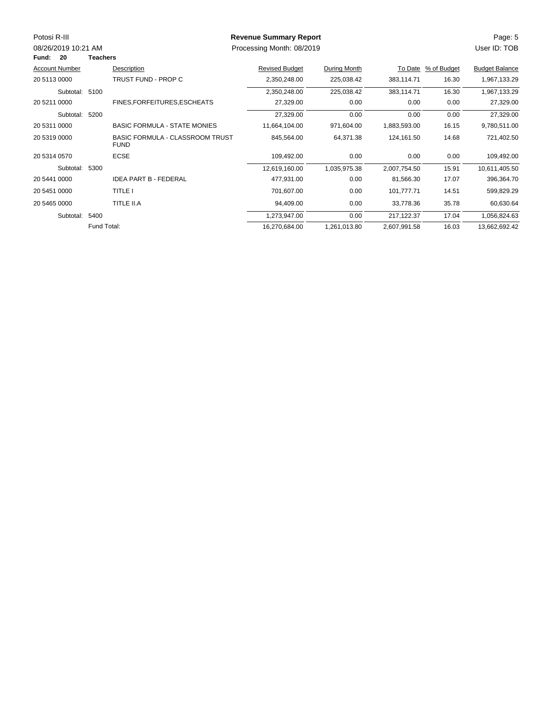| Potosi R-III          |                 |                                                       | <b>Revenue Summary Report</b> |              |              |                     | Page: 5               |
|-----------------------|-----------------|-------------------------------------------------------|-------------------------------|--------------|--------------|---------------------|-----------------------|
| 08/26/2019 10:21 AM   |                 |                                                       | Processing Month: 08/2019     |              |              |                     | User ID: TOB          |
| Fund:<br>-20          | <b>Teachers</b> |                                                       |                               |              |              |                     |                       |
| <b>Account Number</b> |                 | Description                                           | <b>Revised Budget</b>         | During Month |              | To Date % of Budget | <b>Budget Balance</b> |
| 20 5113 0000          |                 | TRUST FUND - PROP C                                   | 2,350,248.00                  | 225,038.42   | 383,114.71   | 16.30               | 1,967,133.29          |
| Subtotal: 5100        |                 |                                                       | 2,350,248.00                  | 225,038.42   | 383,114.71   | 16.30               | 1,967,133.29          |
| 20 5211 0000          |                 | FINES, FOR FEITURES, ESCHEATS                         | 27,329.00                     | 0.00         | 0.00         | 0.00                | 27,329.00             |
| Subtotal: 5200        |                 |                                                       | 27,329.00                     | 0.00         | 0.00         | 0.00                | 27,329.00             |
| 20 5311 0000          |                 | <b>BASIC FORMULA - STATE MONIES</b>                   | 11,664,104.00                 | 971,604.00   | 1,883,593.00 | 16.15               | 9,780,511.00          |
| 20 5319 0000          |                 | <b>BASIC FORMULA - CLASSROOM TRUST</b><br><b>FUND</b> | 845,564.00                    | 64,371.38    | 124,161.50   | 14.68               | 721,402.50            |
| 20 5314 0570          |                 | <b>ECSE</b>                                           | 109,492.00                    | 0.00         | 0.00         | 0.00                | 109,492.00            |
| Subtotal: 5300        |                 |                                                       | 12,619,160.00                 | 1,035,975.38 | 2,007,754.50 | 15.91               | 10,611,405.50         |
| 20 5441 0000          |                 | <b>IDEA PART B - FEDERAL</b>                          | 477,931.00                    | 0.00         | 81,566.30    | 17.07               | 396,364.70            |
| 20 5451 0000          |                 | TITLE I                                               | 701,607.00                    | 0.00         | 101,777.71   | 14.51               | 599,829.29            |
| 20 5465 0000          |                 | TITLE II.A                                            | 94,409.00                     | 0.00         | 33,778.36    | 35.78               | 60,630.64             |
| Subtotal: 5400        |                 |                                                       | 1,273,947.00                  | 0.00         | 217,122.37   | 17.04               | 1,056,824.63          |
|                       | Fund Total:     |                                                       | 16,270,684.00                 | 1,261,013.80 | 2,607,991.58 | 16.03               | 13,662,692.42         |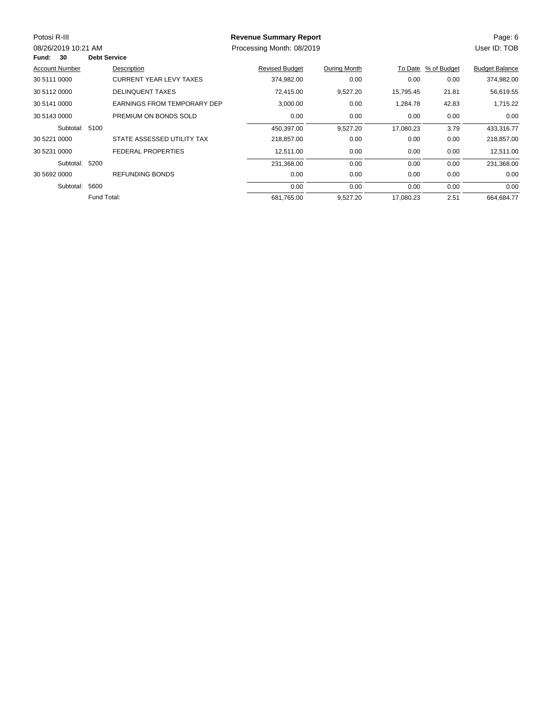| Potosi R-III          |                     |                                    | <b>Revenue Summary Report</b> |              |           |             | Page: 6               |
|-----------------------|---------------------|------------------------------------|-------------------------------|--------------|-----------|-------------|-----------------------|
| 08/26/2019 10:21 AM   |                     |                                    | Processing Month: 08/2019     |              |           |             | User ID: TOB          |
| 30<br>Fund:           | <b>Debt Service</b> |                                    |                               |              |           |             |                       |
| <b>Account Number</b> |                     | Description                        | <b>Revised Budget</b>         | During Month | To Date   | % of Budget | <b>Budget Balance</b> |
| 30 5111 0000          |                     | <b>CURRENT YEAR LEVY TAXES</b>     | 374,982.00                    | 0.00         | 0.00      | 0.00        | 374,982.00            |
| 30 5112 0000          |                     | <b>DELINQUENT TAXES</b>            | 72,415.00                     | 9,527.20     | 15,795.45 | 21.81       | 56,619.55             |
| 30 5141 0000          |                     | <b>EARNINGS FROM TEMPORARY DEP</b> | 3,000.00                      | 0.00         | 1,284.78  | 42.83       | 1,715.22              |
| 30 5143 0000          |                     | PREMIUM ON BONDS SOLD              | 0.00                          | 0.00         | 0.00      | 0.00        | 0.00                  |
| Subtotal: 5100        |                     |                                    | 450,397.00                    | 9,527.20     | 17,080.23 | 3.79        | 433,316.77            |
| 30 5221 0000          |                     | STATE ASSESSED UTILITY TAX         | 218,857.00                    | 0.00         | 0.00      | 0.00        | 218,857.00            |
| 30 5231 0000          |                     | <b>FEDERAL PROPERTIES</b>          | 12,511.00                     | 0.00         | 0.00      | 0.00        | 12,511.00             |
| Subtotal: 5200        |                     |                                    | 231,368.00                    | 0.00         | 0.00      | 0.00        | 231,368.00            |
| 30 5692 0000          |                     | <b>REFUNDING BONDS</b>             | 0.00                          | 0.00         | 0.00      | 0.00        | 0.00                  |
| Subtotal:             | 5600                |                                    | 0.00                          | 0.00         | 0.00      | 0.00        | 0.00                  |
|                       | Fund Total:         |                                    | 681,765.00                    | 9,527.20     | 17,080.23 | 2.51        | 664,684.77            |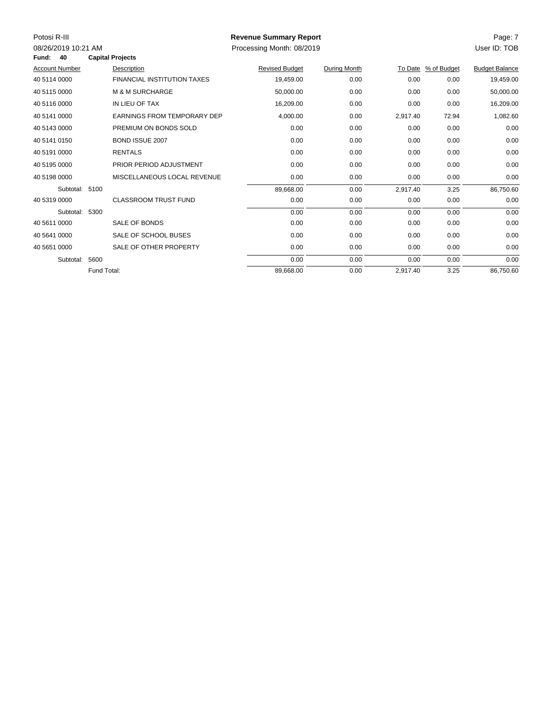| Potosi R-III<br>08/26/2019 10:21 AM<br>40<br>Fund: |             | <b>Capital Projects</b>            | <b>Revenue Summary Report</b><br>Processing Month: 08/2019 |              |          |                     | Page: 7<br>User ID: TOB |
|----------------------------------------------------|-------------|------------------------------------|------------------------------------------------------------|--------------|----------|---------------------|-------------------------|
| <b>Account Number</b>                              |             | Description                        | <b>Revised Budget</b>                                      | During Month |          | To Date % of Budget | <b>Budget Balance</b>   |
| 40 5114 0000                                       |             | <b>FINANCIAL INSTITUTION TAXES</b> | 19,459.00                                                  | 0.00         | 0.00     | 0.00                | 19,459.00               |
| 40 5115 0000                                       |             | <b>M &amp; M SURCHARGE</b>         | 50,000.00                                                  | 0.00         | 0.00     | 0.00                | 50,000.00               |
| 40 5116 0000                                       |             | IN LIEU OF TAX                     | 16,209.00                                                  | 0.00         | 0.00     | 0.00                | 16,209.00               |
| 40 5141 0000                                       |             | <b>EARNINGS FROM TEMPORARY DEP</b> | 4,000.00                                                   | 0.00         | 2,917.40 | 72.94               | 1,082.60                |
| 40 5143 0000                                       |             | PREMIUM ON BONDS SOLD              | 0.00                                                       | 0.00         | 0.00     | 0.00                | 0.00                    |
| 40 5141 0150                                       |             | <b>BOND ISSUE 2007</b>             | 0.00                                                       | 0.00         | 0.00     | 0.00                | 0.00                    |
| 40 5191 0000                                       |             | <b>RENTALS</b>                     | 0.00                                                       | 0.00         | 0.00     | 0.00                | 0.00                    |
| 40 5195 0000                                       |             | PRIOR PERIOD ADJUSTMENT            | 0.00                                                       | 0.00         | 0.00     | 0.00                | 0.00                    |
| 40 5198 0000                                       |             | MISCELLANEOUS LOCAL REVENUE        | 0.00                                                       | 0.00         | 0.00     | 0.00                | 0.00                    |
| Subtotal: 5100                                     |             |                                    | 89,668.00                                                  | 0.00         | 2,917.40 | 3.25                | 86,750.60               |
| 40 5319 0000                                       |             | <b>CLASSROOM TRUST FUND</b>        | 0.00                                                       | 0.00         | 0.00     | 0.00                | 0.00                    |
| Subtotal: 5300                                     |             |                                    | 0.00                                                       | 0.00         | 0.00     | 0.00                | 0.00                    |
| 40 5611 0000                                       |             | SALE OF BONDS                      | 0.00                                                       | 0.00         | 0.00     | 0.00                | 0.00                    |
| 40 5641 0000                                       |             | SALE OF SCHOOL BUSES               | 0.00                                                       | 0.00         | 0.00     | 0.00                | 0.00                    |
| 40 5651 0000                                       |             | SALE OF OTHER PROPERTY             | 0.00                                                       | 0.00         | 0.00     | 0.00                | 0.00                    |
| Subtotal:                                          | 5600        |                                    | 0.00                                                       | 0.00         | 0.00     | 0.00                | 0.00                    |
|                                                    | Fund Total: |                                    | 89,668.00                                                  | 0.00         | 2,917.40 | 3.25                | 86,750.60               |